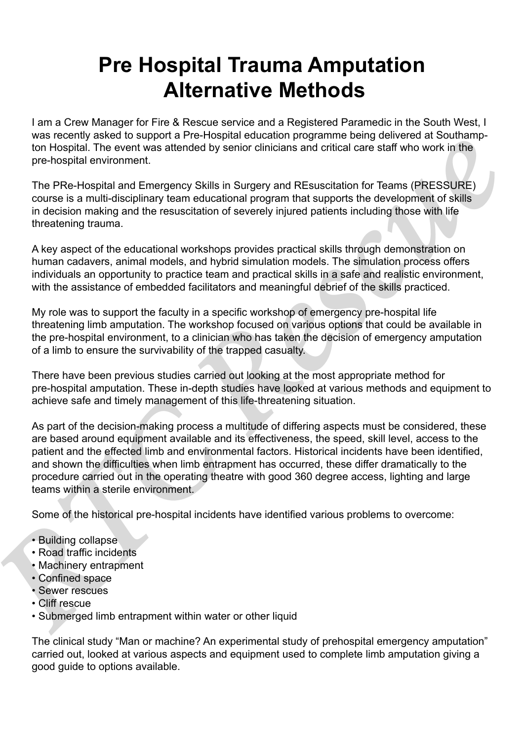## **Pre Hospital Trauma Amputation Alternative Methods**

I am a Crew Manager for Fire & Rescue service and a Registered Paramedic in the South West, I was recently asked to support a Pre-Hospital education programme being delivered at Southampton Hospital. The event was attended by senior clinicians and critical care staff who work in the pre-hospital environment.

The PRe-Hospital and Emergency Skills in Surgery and REsuscitation for Teams (PRESSURE) course is a multi-disciplinary team educational program that supports the development of skills in decision making and the resuscitation of severely injured patients including those with life threatening trauma.

A key aspect of the educational workshops provides practical skills through demonstration on human cadavers, animal models, and hybrid simulation models. The simulation process offers individuals an opportunity to practice team and practical skills in a safe and realistic environment, with the assistance of embedded facilitators and meaningful debrief of the skills practiced.

My role was to support the faculty in a specific workshop of emergency pre-hospital life threatening limb amputation. The workshop focused on various options that could be available in the pre-hospital environment, to a clinician who has taken the decision of emergency amputation of a limb to ensure the survivability of the trapped casualty.

There have been previous studies carried out looking at the most appropriate method for pre-hospital amputation. These in-depth studies have looked at various methods and equipment to achieve safe and timely management of this life-threatening situation.

As part of the decision-making process a multitude of differing aspects must be considered, these are based around equipment available and its effectiveness, the speed, skill level, access to the patient and the effected limb and environmental factors. Historical incidents have been identified, and shown the difficulties when limb entrapment has occurred, these differ dramatically to the procedure carried out in the operating theatre with good 360 degree access, lighting and large teams within a sterile environment. ton Hospital any domain and the specific the specific control and the pre-to-specific control and the pre-to-specific control and the pre-to-specific control and Energency Skills in Surgery and REsuscitation for Teams (PRE

Some of the historical pre-hospital incidents have identified various problems to overcome:

- Building collapse
- Road traffic incidents
- Machinery entrapment
- Confined space
- Sewer rescues
- Cliff rescue
- Submerged limb entrapment within water or other liquid

The clinical study "Man or machine? An experimental study of prehospital emergency amputation" carried out, looked at various aspects and equipment used to complete limb amputation giving a good guide to options available.